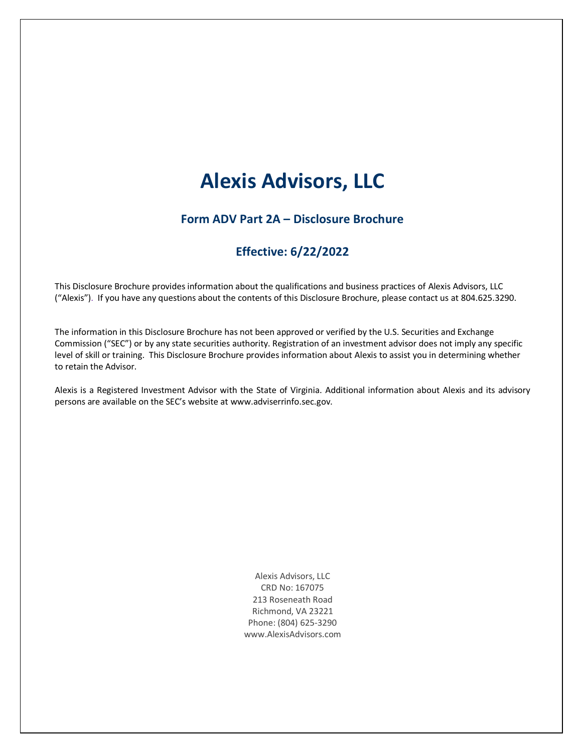# **Alexis Advisors, LLC**

## **Form ADV Part 2A – Disclosure Brochure**

## **Effective: 6/22/2022**

This Disclosure Brochure provides information about the qualifications and business practices of Alexis Advisors, LLC ("Alexis"). If you have any questions about the contents of this Disclosure Brochure, please contact us at 804.625.3290.

The information in this Disclosure Brochure has not been approved or verified by the U.S. Securities and Exchange Commission ("SEC") or by any state securities authority. Registration of an investment advisor does not imply any specific level of skill or training. This Disclosure Brochure provides information about Alexis to assist you in determining whether to retain the Advisor.

Alexis is a Registered Investment Advisor with the State of Virginia. Additional information about Alexis and its advisory persons are available on the SEC's website at www.adviserrinfo.sec.gov.

> Alexis Advisors, LLC CRD No: 167075 213 Roseneath Road Richmond, VA 23221 Phone: (804) 625-3290 www.AlexisAdvisors.com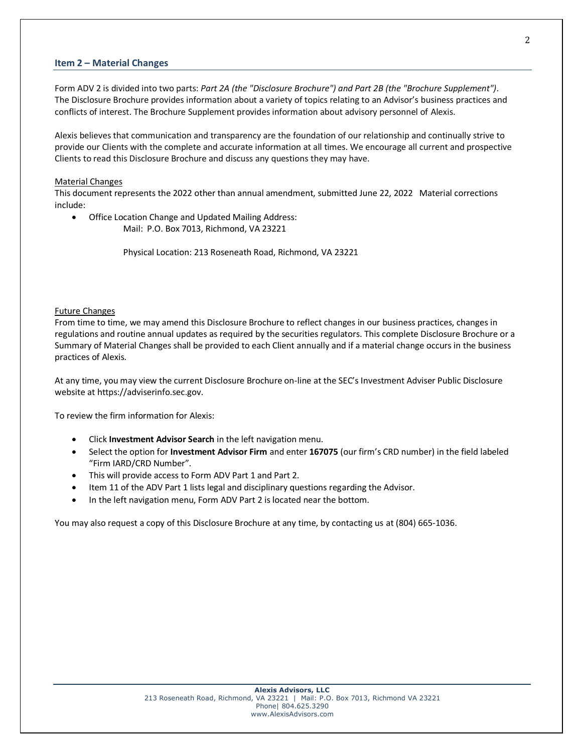## **Item 2 – Material Changes**

Form ADV 2 is divided into two parts: *Part 2A (the "Disclosure Brochure") and Part 2B (the "Brochure Supplement")*. The Disclosure Brochure provides information about a variety of topics relating to an Advisor's business practices and conflicts of interest. The Brochure Supplement provides information about advisory personnel of Alexis.

Alexis believes that communication and transparency are the foundation of our relationship and continually strive to provide our Clients with the complete and accurate information at all times. We encourage all current and prospective Clients to read this Disclosure Brochure and discuss any questions they may have.

#### Material Changes

This document represents the 2022 other than annual amendment, submitted June 22, 2022 Material corrections include:

• Office Location Change and Updated Mailing Address: Mail: P.O. Box 7013, Richmond, VA 23221

Physical Location: 213 Roseneath Road, Richmond, VA 23221

#### Future Changes

From time to time, we may amend this Disclosure Brochure to reflect changes in our business practices, changes in regulations and routine annual updates as required by the securities regulators. This complete Disclosure Brochure or a Summary of Material Changes shall be provided to each Client annually and if a material change occurs in the business practices of Alexis.

At any time, you may view the current Disclosure Brochure on-line at the SEC's Investment Adviser Public Disclosure website at https://adviserinfo.sec.gov.

To review the firm information for Alexis:

- Click **Investment Advisor Search** in the left navigation menu.
- Select the option for **Investment Advisor Firm** and enter **167075** (our firm's CRD number) in the field labeled "Firm IARD/CRD Number".
- This will provide access to Form ADV Part 1 and Part 2.
- Item 11 of the ADV Part 1 lists legal and disciplinary questions regarding the Advisor.
- In the left navigation menu, Form ADV Part 2 is located near the bottom.

You may also request a copy of this Disclosure Brochure at any time, by contacting us at (804) 665-1036.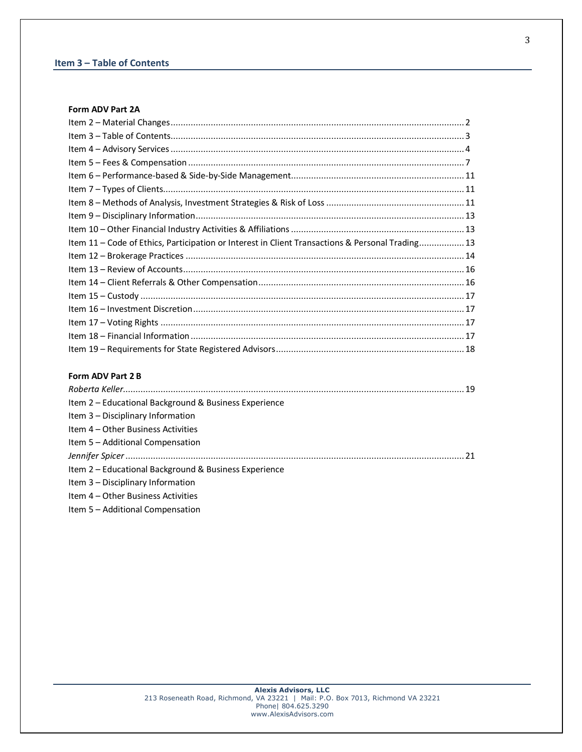## **Item 3 – Table of Contents**

## **Form ADV Part 2A**

| Item 11 - Code of Ethics, Participation or Interest in Client Transactions & Personal Trading 13 |  |
|--------------------------------------------------------------------------------------------------|--|
|                                                                                                  |  |
|                                                                                                  |  |
|                                                                                                  |  |
|                                                                                                  |  |
|                                                                                                  |  |
|                                                                                                  |  |
|                                                                                                  |  |
|                                                                                                  |  |
|                                                                                                  |  |

## **Form ADV Part 2 B**

| Item 2 – Educational Background & Business Experience |  |
|-------------------------------------------------------|--|
| Item 3 - Disciplinary Information                     |  |
| Item 4 – Other Business Activities                    |  |
| Item 5 - Additional Compensation                      |  |
|                                                       |  |
| Item 2 – Educational Background & Business Experience |  |
| Item 3 - Disciplinary Information                     |  |
| Item 4 – Other Business Activities                    |  |

Item 5 – Additional Compensation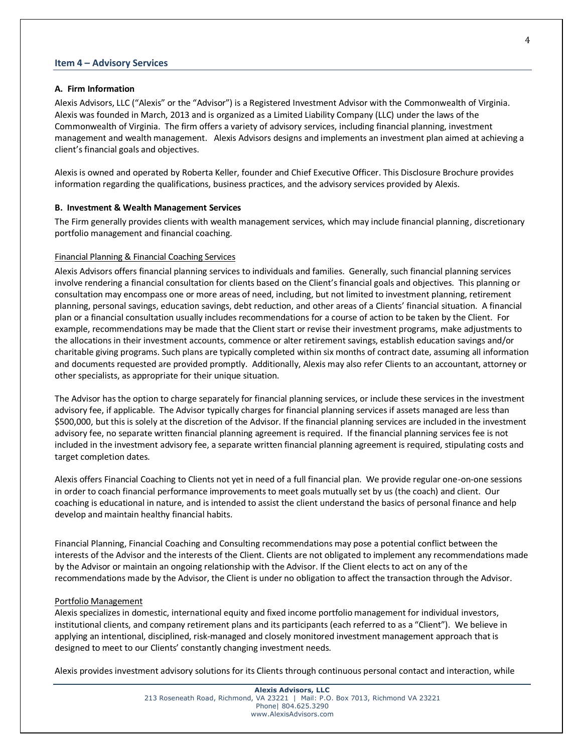#### **Item 4 – Advisory Services**

#### **A. Firm Information**

Alexis Advisors, LLC ("Alexis" or the "Advisor") is a Registered Investment Advisor with the Commonwealth of Virginia. Alexis was founded in March, 2013 and is organized as a Limited Liability Company (LLC) under the laws of the Commonwealth of Virginia. The firm offers a variety of advisory services, including financial planning, investment management and wealth management. Alexis Advisors designs and implements an investment plan aimed at achieving a client's financial goals and objectives.

Alexis is owned and operated by Roberta Keller, founder and Chief Executive Officer. This Disclosure Brochure provides information regarding the qualifications, business practices, and the advisory services provided by Alexis.

#### **B. Investment & Wealth Management Services**

The Firm generally provides clients with wealth management services, which may include financial planning, discretionary portfolio management and financial coaching.

#### Financial Planning & Financial Coaching Services

Alexis Advisors offers financial planning services to individuals and families. Generally, such financial planning services involve rendering a financial consultation for clients based on the Client's financial goals and objectives. This planning or consultation may encompass one or more areas of need, including, but not limited to investment planning, retirement planning, personal savings, education savings, debt reduction, and other areas of a Clients' financial situation. A financial plan or a financial consultation usually includes recommendations for a course of action to be taken by the Client. For example, recommendations may be made that the Client start or revise their investment programs, make adjustments to the allocations in their investment accounts, commence or alter retirement savings, establish education savings and/or charitable giving programs. Such plans are typically completed within six months of contract date, assuming all information and documents requested are provided promptly. Additionally, Alexis may also refer Clients to an accountant, attorney or other specialists, as appropriate for their unique situation.

The Advisor has the option to charge separately for financial planning services, or include these services in the investment advisory fee, if applicable. The Advisor typically charges for financial planning services if assets managed are less than \$500,000, but this is solely at the discretion of the Advisor. If the financial planning services are included in the investment advisory fee, no separate written financial planning agreement is required. If the financial planning services fee is not included in the investment advisory fee, a separate written financial planning agreement is required, stipulating costs and target completion dates.

Alexis offers Financial Coaching to Clients not yet in need of a full financial plan. We provide regular one-on-one sessions in order to coach financial performance improvements to meet goals mutually set by us (the coach) and client. Our coaching is educational in nature, and is intended to assist the client understand the basics of personal finance and help develop and maintain healthy financial habits.

Financial Planning, Financial Coaching and Consulting recommendations may pose a potential conflict between the interests of the Advisor and the interests of the Client. Clients are not obligated to implement any recommendations made by the Advisor or maintain an ongoing relationship with the Advisor. If the Client elects to act on any of the recommendations made by the Advisor, the Client is under no obligation to affect the transaction through the Advisor.

#### Portfolio Management

Alexis specializes in domestic, international equity and fixed income portfolio management for individual investors, institutional clients, and company retirement plans and its participants (each referred to as a "Client"). We believe in applying an intentional, disciplined, risk-managed and closely monitored investment management approach that is designed to meet to our Clients' constantly changing investment needs.

Alexis provides investment advisory solutions for its Clients through continuous personal contact and interaction, while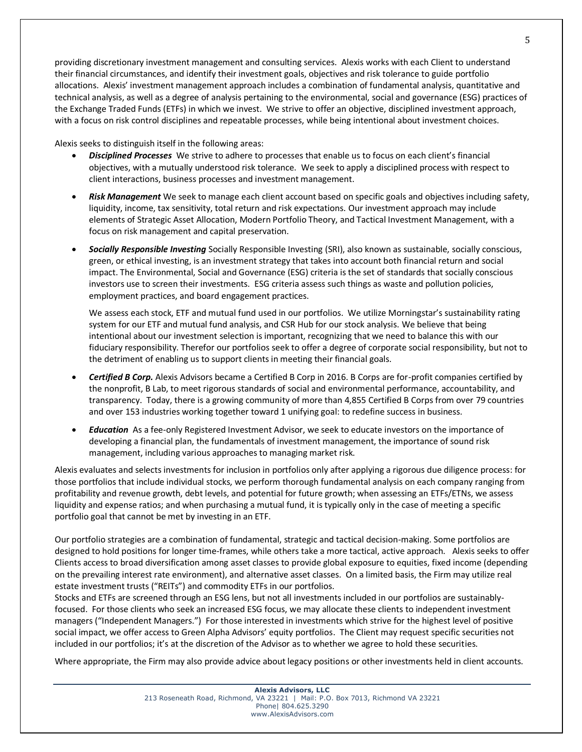providing discretionary investment management and consulting services. Alexis works with each Client to understand their financial circumstances, and identify their investment goals, objectives and risk tolerance to guide portfolio allocations. Alexis' investment management approach includes a combination of fundamental analysis, quantitative and technical analysis, as well as a degree of analysis pertaining to the environmental, social and governance (ESG) practices of the Exchange Traded Funds (ETFs) in which we invest. We strive to offer an objective, disciplined investment approach, with a focus on risk control disciplines and repeatable processes, while being intentional about investment choices.

Alexis seeks to distinguish itself in the following areas:

- *Disciplined Processes* We strive to adhere to processes that enable us to focus on each client's financial objectives, with a mutually understood risk tolerance. We seek to apply a disciplined process with respect to client interactions, business processes and investment management.
- *Risk Management* We seek to manage each client account based on specific goals and objectives including safety, liquidity, income, tax sensitivity, total return and risk expectations. Our investment approach may include elements of Strategic Asset Allocation, Modern Portfolio Theory, and Tactical Investment Management, with a focus on risk management and capital preservation.
- *Socially Responsible Investing* Socially Responsible Investing (SRI), also known as sustainable, socially conscious, green, or ethical investing, is an investment strategy that takes into account both financial return and social impact. The Environmental, Social and Governance (ESG) criteria is the set of standards that socially conscious investors use to screen their investments. ESG criteria assess such things as waste and pollution policies, employment practices, and board engagement practices.

We assess each stock, ETF and mutual fund used in our portfolios. We utilize Morningstar's sustainability rating system for our ETF and mutual fund analysis, and CSR Hub for our stock analysis. We believe that being intentional about our investment selection is important, recognizing that we need to balance this with our fiduciary responsibility. Therefor our portfolios seek to offer a degree of corporate social responsibility, but not to the detriment of enabling us to support clients in meeting their financial goals.

- *Certified B Corp.* Alexis Advisors became a Certified B Corp in 2016. B Corps are for-profit companies certified by the nonprofit, B Lab, to meet rigorous standards of social and environmental performance, accountability, and transparency. Today, there is a growing community of more than 4,855 Certified B Corps from over 79 countries and over 153 industries working together toward 1 unifying goal: to redefine success in business.
- *Education* As a fee-only Registered Investment Advisor, we seek to educate investors on the importance of developing a financial plan, the fundamentals of investment management, the importance of sound risk management, including various approaches to managing market risk.

Alexis evaluates and selects investments for inclusion in portfolios only after applying a rigorous due diligence process: for those portfolios that include individual stocks, we perform thorough fundamental analysis on each company ranging from profitability and revenue growth, debt levels, and potential for future growth; when assessing an ETFs/ETNs, we assess liquidity and expense ratios; and when purchasing a mutual fund, it is typically only in the case of meeting a specific portfolio goal that cannot be met by investing in an ETF.

Our portfolio strategies are a combination of fundamental, strategic and tactical decision-making. Some portfolios are designed to hold positions for longer time-frames, while others take a more tactical, active approach. Alexis seeks to offer Clients access to broad diversification among asset classes to provide global exposure to equities, fixed income (depending on the prevailing interest rate environment), and alternative asset classes. On a limited basis, the Firm may utilize real estate investment trusts ("REITs") and commodity ETFs in our portfolios.

Stocks and ETFs are screened through an ESG lens, but not all investments included in our portfolios are sustainablyfocused. For those clients who seek an increased ESG focus, we may allocate these clients to independent investment managers ("Independent Managers.") For those interested in investments which strive for the highest level of positive social impact, we offer access to Green Alpha Advisors' equity portfolios. The Client may request specific securities not included in our portfolios; it's at the discretion of the Advisor as to whether we agree to hold these securities.

Where appropriate, the Firm may also provide advice about legacy positions or other investments held in client accounts.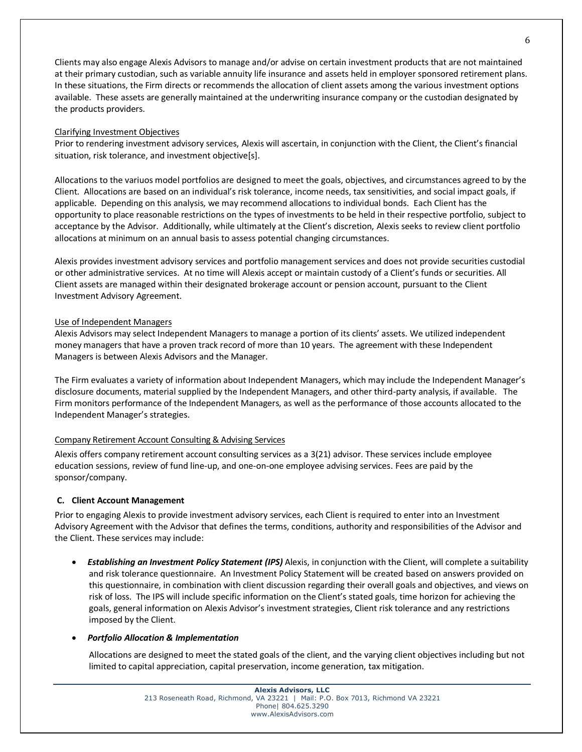Clients may also engage Alexis Advisors to manage and/or advise on certain investment products that are not maintained at their primary custodian, such as variable annuity life insurance and assets held in employer sponsored retirement plans. In these situations, the Firm directs or recommends the allocation of client assets among the various investment options available. These assets are generally maintained at the underwriting insurance company or the custodian designated by the products providers.

### Clarifying Investment Objectives

Prior to rendering investment advisory services, Alexis will ascertain, in conjunction with the Client, the Client's financial situation, risk tolerance, and investment objective[s].

Allocations to the variuos model portfolios are designed to meet the goals, objectives, and circumstances agreed to by the Client. Allocations are based on an individual's risk tolerance, income needs, tax sensitivities, and social impact goals, if applicable. Depending on this analysis, we may recommend allocations to individual bonds. Each Client has the opportunity to place reasonable restrictions on the types of investments to be held in their respective portfolio, subject to acceptance by the Advisor. Additionally, while ultimately at the Client's discretion, Alexis seeks to review client portfolio allocations at minimum on an annual basis to assess potential changing circumstances.

Alexis provides investment advisory services and portfolio management services and does not provide securities custodial or other administrative services. At no time will Alexis accept or maintain custody of a Client's funds or securities. All Client assets are managed within their designated brokerage account or pension account, pursuant to the Client Investment Advisory Agreement.

### Use of Independent Managers

Alexis Advisors may select Independent Managers to manage a portion of its clients' assets. We utilized independent money managers that have a proven track record of more than 10 years. The agreement with these Independent Managers is between Alexis Advisors and the Manager.

The Firm evaluates a variety of information about Independent Managers, which may include the Independent Manager's disclosure documents, material supplied by the Independent Managers, and other third-party analysis, if available. The Firm monitors performance of the Independent Managers, as well as the performance of those accounts allocated to the Independent Manager's strategies.

## Company Retirement Account Consulting & Advising Services

Alexis offers company retirement account consulting services as a 3(21) advisor. These services include employee education sessions, review of fund line-up, and one-on-one employee advising services. Fees are paid by the sponsor/company.

## **C. Client Account Management**

Prior to engaging Alexis to provide investment advisory services, each Client is required to enter into an Investment Advisory Agreement with the Advisor that defines the terms, conditions, authority and responsibilities of the Advisor and the Client. These services may include:

• *Establishing an Investment Policy Statement (IPS)* Alexis, in conjunction with the Client, will complete a suitability and risk tolerance questionnaire. An Investment Policy Statement will be created based on answers provided on this questionnaire, in combination with client discussion regarding their overall goals and objectives, and views on risk of loss. The IPS will include specific information on the Client's stated goals, time horizon for achieving the goals, general information on Alexis Advisor's investment strategies, Client risk tolerance and any restrictions imposed by the Client.

#### • *Portfolio Allocation & Implementation*

Allocations are designed to meet the stated goals of the client, and the varying client objectives including but not limited to capital appreciation, capital preservation, income generation, tax mitigation.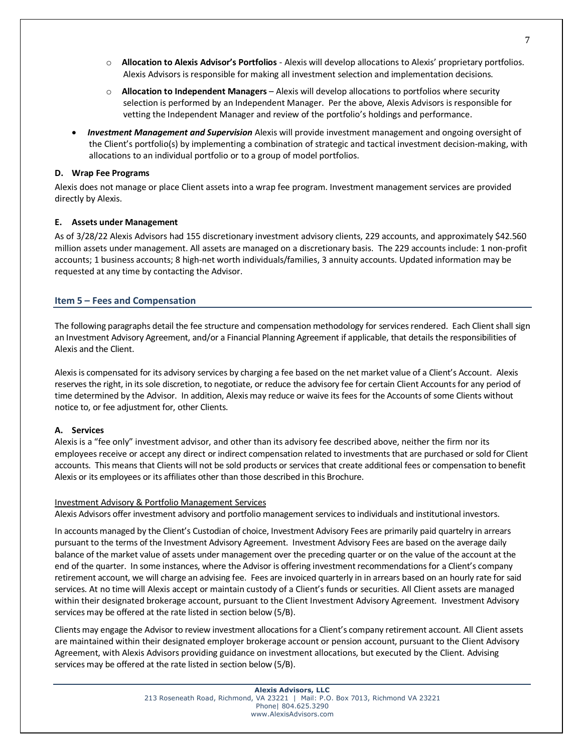- o **Allocation to Alexis Advisor's Portfolios** Alexis will develop allocations to Alexis' proprietary portfolios. Alexis Advisors is responsible for making all investment selection and implementation decisions.
- o **Allocation to Independent Managers** Alexis will develop allocations to portfolios where security selection is performed by an Independent Manager. Per the above, Alexis Advisors is responsible for vetting the Independent Manager and review of the portfolio's holdings and performance.
- *Investment Management and Supervision* Alexis will provide investment management and ongoing oversight of the Client's portfolio(s) by implementing a combination of strategic and tactical investment decision-making, with allocations to an individual portfolio or to a group of model portfolios.

### **D. Wrap Fee Programs**

Alexis does not manage or place Client assets into a wrap fee program. Investment management services are provided directly by Alexis.

## **E. Assets under Management**

As of 3/28/22 Alexis Advisors had 155 discretionary investment advisory clients, 229 accounts, and approximately \$42.560 million assets under management. All assets are managed on a discretionary basis. The 229 accounts include: 1 non-profit accounts; 1 business accounts; 8 high-net worth individuals/families, 3 annuity accounts. Updated information may be requested at any time by contacting the Advisor.

## **Item 5 – Fees and Compensation**

The following paragraphs detail the fee structure and compensation methodology for services rendered. Each Client shall sign an Investment Advisory Agreement, and/or a Financial Planning Agreement if applicable, that details the responsibilities of Alexis and the Client.

Alexis is compensated for its advisory services by charging a fee based on the net market value of a Client's Account. Alexis reserves the right, in its sole discretion, to negotiate, or reduce the advisory fee for certain Client Accounts for any period of time determined by the Advisor. In addition, Alexis may reduce or waive its fees for the Accounts of some Clients without notice to, or fee adjustment for, other Clients.

## **A. Services**

Alexis is a "fee only" investment advisor, and other than its advisory fee described above, neither the firm nor its employees receive or accept any direct or indirect compensation related to investments that are purchased or sold for Client accounts. This means that Clients will not be sold products or services that create additional fees or compensation to benefit Alexis or its employees or its affiliates other than those described in this Brochure.

#### Investment Advisory & Portfolio Management Services

Alexis Advisors offer investment advisory and portfolio management services to individuals and institutional investors.

In accounts managed by the Client's Custodian of choice, Investment Advisory Fees are primarily paid quartelry in arrears pursuant to the terms of the Investment Advisory Agreement. Investment Advisory Fees are based on the average daily balance of the market value of assets under management over the preceding quarter or on the value of the account at the end of the quarter. In some instances, where the Advisor is offering investment recommendations for a Client's company retirement account, we will charge an advising fee. Fees are invoiced quarterly in in arrears based on an hourly rate for said services. At no time will Alexis accept or maintain custody of a Client's funds or securities. All Client assets are managed within their designated brokerage account, pursuant to the Client Investment Advisory Agreement. Investment Advisory services may be offered at the rate listed in section below (5/B).

Clients may engage the Advisor to review investment allocations for a Client's company retirement account. All Client assets are maintained within their designated employer brokerage account or pension account, pursuant to the Client Advisory Agreement, with Alexis Advisors providing guidance on investment allocations, but executed by the Client. Advising services may be offered at the rate listed in section below (5/B).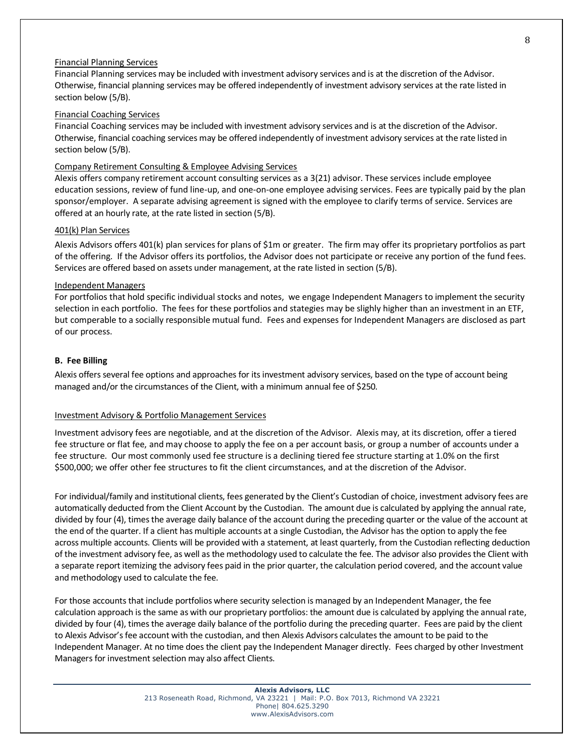#### Financial Planning Services

Financial Planning services may be included with investment advisory services and is at the discretion of the Advisor. Otherwise, financial planning services may be offered independently of investment advisory services at the rate listed in section below (5/B).

## Financial Coaching Services

Financial Coaching services may be included with investment advisory services and is at the discretion of the Advisor. Otherwise, financial coaching services may be offered independently of investment advisory services at the rate listed in section below (5/B).

## Company Retirement Consulting & Employee Advising Services

Alexis offers company retirement account consulting services as a 3(21) advisor. These services include employee education sessions, review of fund line-up, and one-on-one employee advising services. Fees are typically paid by the plan sponsor/employer. A separate advising agreement is signed with the employee to clarify terms of service. Services are offered at an hourly rate, at the rate listed in section (5/B).

#### 401(k) Plan Services

Alexis Advisors offers 401(k) plan services for plans of \$1m or greater. The firm may offer its proprietary portfolios as part of the offering. If the Advisor offers its portfolios, the Advisor does not participate or receive any portion of the fund fees. Services are offered based on assets under management, at the rate listed in section (5/B).

#### Independent Managers

For portfolios that hold specific individual stocks and notes, we engage Independent Managers to implement the security selection in each portfolio. The fees for these portfolios and stategies may be slighly higher than an investment in an ETF, but comperable to a socially responsible mutual fund. Fees and expenses for Independent Managers are disclosed as part of our process.

#### **B. Fee Billing**

Alexis offers several fee options and approaches for its investment advisory services, based on the type of account being managed and/or the circumstances of the Client, with a minimum annual fee of \$250.

#### Investment Advisory & Portfolio Management Services

Investment advisory fees are negotiable, and at the discretion of the Advisor. Alexis may, at its discretion, offer a tiered fee structure or flat fee, and may choose to apply the fee on a per account basis, or group a number of accounts under a fee structure. Our most commonly used fee structure is a declining tiered fee structure starting at 1.0% on the first \$500,000; we offer other fee structures to fit the client circumstances, and at the discretion of the Advisor.

For individual/family and institutional clients, fees generated by the Client's Custodian of choice, investment advisory fees are automatically deducted from the Client Account by the Custodian. The amount due is calculated by applying the annual rate, divided by four (4), times the average daily balance of the account during the preceding quarter or the value of the account at the end of the quarter. If a client has multiple accounts at a single Custodian, the Advisor has the option to apply the fee across multiple accounts. Clients will be provided with a statement, at least quarterly, from the Custodian reflecting deduction of the investment advisory fee, as well as the methodology used to calculate the fee. The advisor also provides the Client with a separate report itemizing the advisory fees paid in the prior quarter, the calculation period covered, and the account value and methodology used to calculate the fee.

For those accounts that include portfolios where security selection is managed by an Independent Manager, the fee calculation approach is the same as with our proprietary portfolios: the amount due is calculated by applying the annual rate, divided by four (4), times the average daily balance of the portfolio during the preceding quarter. Fees are paid by the client to Alexis Advisor's fee account with the custodian, and then Alexis Advisors calculates the amount to be paid to the Independent Manager. At no time does the client pay the Independent Manager directly. Fees charged by other Investment Managers for investment selection may also affect Clients.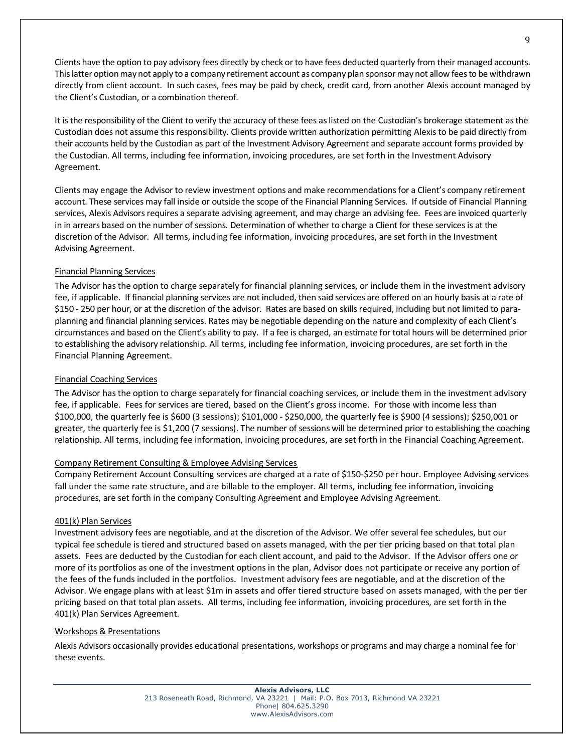Clients have the option to pay advisory fees directly by check or to have fees deducted quarterly from their managed accounts. This latter option may not apply to a company retirement account as company plan sponsor may not allow fees to be withdrawn directly from client account. In such cases, fees may be paid by check, credit card, from another Alexis account managed by the Client's Custodian, or a combination thereof.

It is the responsibility of the Client to verify the accuracy of these fees as listed on the Custodian's brokerage statement as the Custodian does not assume this responsibility. Clients provide written authorization permitting Alexis to be paid directly from their accounts held by the Custodian as part of the Investment Advisory Agreement and separate account forms provided by the Custodian. All terms, including fee information, invoicing procedures, are set forth in the Investment Advisory Agreement.

Clients may engage the Advisor to review investment options and make recommendations for a Client's company retirement account. These services may fall inside or outside the scope of the Financial Planning Services. If outside of Financial Planning services, Alexis Advisors requires a separate advising agreement, and may charge an advising fee. Fees are invoiced quarterly in in arrears based on the number of sessions. Determination of whether to charge a Client for these services is at the discretion of the Advisor. All terms, including fee information, invoicing procedures, are set forth in the Investment Advising Agreement.

## Financial Planning Services

The Advisor has the option to charge separately for financial planning services, or include them in the investment advisory fee, if applicable. If financial planning services are not included, then said services are offered on an hourly basis at a rate of \$150 - 250 per hour, or at the discretion of the advisor. Rates are based on skills required, including but not limited to paraplanning and financial planning services. Rates may be negotiable depending on the nature and complexity of each Client's circumstances and based on the Client's ability to pay. If a fee is charged, an estimate for total hours will be determined prior to establishing the advisory relationship. All terms, including fee information, invoicing procedures, are set forth in the Financial Planning Agreement.

## Financial Coaching Services

The Advisor has the option to charge separately for financial coaching services, or include them in the investment advisory fee, if applicable. Fees for services are tiered, based on the Client's gross income. For those with income less than \$100,000, the quarterly fee is \$600 (3 sessions); \$101,000 - \$250,000, the quarterly fee is \$900 (4 sessions); \$250,001 or greater, the quarterly fee is \$1,200 (7 sessions). The number of sessions will be determined prior to establishing the coaching relationship. All terms, including fee information, invoicing procedures, are set forth in the Financial Coaching Agreement.

## Company Retirement Consulting & Employee Advising Services

Company Retirement Account Consulting services are charged at a rate of \$150-\$250 per hour. Employee Advising services fall under the same rate structure, and are billable to the employer. All terms, including fee information, invoicing procedures, are set forth in the company Consulting Agreement and Employee Advising Agreement.

## 401(k) Plan Services

Investment advisory fees are negotiable, and at the discretion of the Advisor. We offer several fee schedules, but our typical fee schedule is tiered and structured based on assets managed, with the per tier pricing based on that total plan assets. Fees are deducted by the Custodian for each client account, and paid to the Advisor. If the Advisor offers one or more of its portfolios as one of the investment options in the plan, Advisor does not participate or receive any portion of the fees of the funds included in the portfolios. Investment advisory fees are negotiable, and at the discretion of the Advisor. We engage plans with at least \$1m in assets and offer tiered structure based on assets managed, with the per tier pricing based on that total plan assets. All terms, including fee information, invoicing procedures, are set forth in the 401(k) Plan Services Agreement.

## Workshops & Presentations

Alexis Advisors occasionally provides educational presentations, workshops or programs and may charge a nominal fee for these events.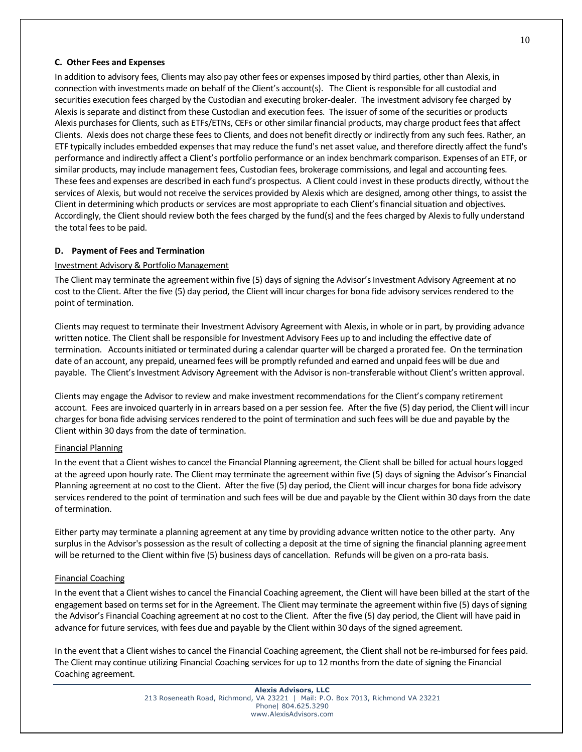#### **C. Other Fees and Expenses**

In addition to advisory fees, Clients may also pay other fees or expenses imposed by third parties, other than Alexis, in connection with investments made on behalf of the Client's account(s). The Client is responsible for all custodial and securities execution fees charged by the Custodian and executing broker-dealer. The investment advisory fee charged by Alexisis separate and distinct from these Custodian and execution fees. The issuer of some of the securities or products Alexis purchases for Clients, such as ETFs/ETNs, CEFs or other similar financial products, may charge product fees that affect Clients. Alexis does not charge these fees to Clients, and does not benefit directly or indirectly from any such fees. Rather, an ETF typically includes embedded expenses that may reduce the fund's net asset value, and therefore directly affect the fund's performance and indirectly affect a Client's portfolio performance or an index benchmark comparison. Expenses of an ETF, or similar products, may include management fees, Custodian fees, brokerage commissions, and legal and accounting fees. These fees and expenses are described in each fund's prospectus. A Client could invest in these products directly, without the services of Alexis, but would not receive the services provided by Alexis which are designed, among other things, to assist the Client in determining which products or services are most appropriate to each Client's financial situation and objectives. Accordingly, the Client should review both the fees charged by the fund(s) and the fees charged by Alexisto fully understand the total fees to be paid.

### **D. Payment of Fees and Termination**

### Investment Advisory & Portfolio Management

The Client may terminate the agreement within five (5) days of signing the Advisor's Investment Advisory Agreement at no cost to the Client. After the five (5) day period, the Client will incur charges for bona fide advisory services rendered to the point of termination.

Clients may request to terminate their Investment Advisory Agreement with Alexis, in whole or in part, by providing advance written notice. The Client shall be responsible for Investment Advisory Fees up to and including the effective date of termination. Accounts initiated or terminated during a calendar quarter will be charged a prorated fee. On the termination date of an account, any prepaid, unearned fees will be promptly refunded and earned and unpaid fees will be due and payable. The Client's Investment Advisory Agreement with the Advisor is non-transferable without Client's written approval.

Clients may engage the Advisor to review and make investment recommendations for the Client's company retirement account. Fees are invoiced quarterly in in arrears based on a per session fee. After the five (5) day period, the Client will incur charges for bona fide advising services rendered to the point of termination and such fees will be due and payable by the Client within 30 days from the date of termination.

#### Financial Planning

In the event that a Client wishes to cancel the Financial Planning agreement, the Client shall be billed for actual hours logged at the agreed upon hourly rate. The Client may terminate the agreement within five (5) days of signing the Advisor's Financial Planning agreement at no cost to the Client. After the five (5) day period, the Client will incur charges for bona fide advisory services rendered to the point of termination and such fees will be due and payable by the Client within 30 days from the date of termination.

Either party may terminate a planning agreement at any time by providing advance written notice to the other party. Any surplus in the Advisor's possession as the result of collecting a deposit at the time of signing the financial planning agreement will be returned to the Client within five (5) business days of cancellation. Refunds will be given on a pro-rata basis.

#### Financial Coaching

In the event that a Client wishes to cancel the Financial Coaching agreement, the Client will have been billed at the start of the engagement based on terms set for in the Agreement. The Client may terminate the agreement within five (5) days of signing the Advisor's Financial Coaching agreement at no cost to the Client. After the five (5) day period, the Client will have paid in advance for future services, with fees due and payable by the Client within 30 days of the signed agreement.

In the event that a Client wishes to cancel the Financial Coaching agreement, the Client shall not be re-imbursed for fees paid. The Client may continue utilizing Financial Coaching services for up to 12 months from the date of signing the Financial Coaching agreement.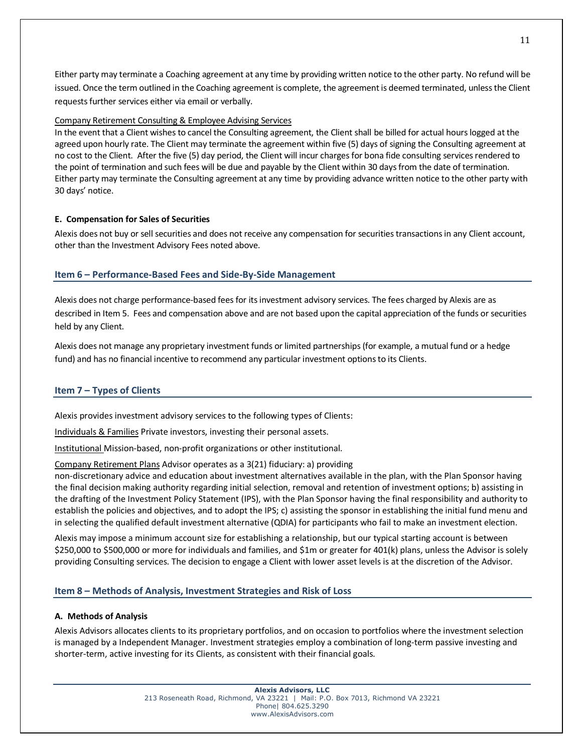Either party may terminate a Coaching agreement at any time by providing written notice to the other party. No refund will be issued. Once the term outlined in the Coaching agreement is complete, the agreement is deemed terminated, unless the Client requests further services either via email or verbally.

## Company Retirement Consulting & Employee Advising Services

In the event that a Client wishes to cancel the Consulting agreement, the Client shall be billed for actual hours logged at the agreed upon hourly rate. The Client may terminate the agreement within five (5) days of signing the Consulting agreement at no cost to the Client. After the five (5) day period, the Client will incur charges for bona fide consulting services rendered to the point of termination and such fees will be due and payable by the Client within 30 days from the date of termination. Either party may terminate the Consulting agreement at any time by providing advance written notice to the other party with 30 days' notice.

## **E. Compensation for Sales of Securities**

Alexis does not buy or sell securities and does not receive any compensation for securities transactions in any Client account, other than the Investment Advisory Fees noted above.

## **Item 6 – Performance-Based Fees and Side-By-Side Management**

Alexis does not charge performance-based fees for its investment advisory services. The fees charged by Alexis are as described in Item 5. Fees and compensation above and are not based upon the capital appreciation of the funds or securities held by any Client.

Alexis does not manage any proprietary investment funds or limited partnerships (for example, a mutual fund or a hedge fund) and has no financial incentive to recommend any particular investment options to its Clients.

## **Item 7 – Types of Clients**

Alexis provides investment advisory services to the following types of Clients:

Individuals & Families Private investors, investing their personal assets.

Institutional Mission-based, non-profit organizations or other institutional.

Company Retirement Plans Advisor operates as a 3(21) fiduciary: a) providing

non-discretionary advice and education about investment alternatives available in the plan, with the Plan Sponsor having the final decision making authority regarding initial selection, removal and retention of investment options; b) assisting in the drafting of the Investment Policy Statement (IPS), with the Plan Sponsor having the final responsibility and authority to establish the policies and objectives, and to adopt the IPS; c) assisting the sponsor in establishing the initial fund menu and in selecting the qualified default investment alternative (QDIA) for participants who fail to make an investment election.

Alexis may impose a minimum account size for establishing a relationship, but our typical starting account is between \$250,000 to \$500,000 or more for individuals and families, and \$1m or greater for 401(k) plans, unless the Advisor is solely providing Consulting services. The decision to engage a Client with lower asset levels is at the discretion of the Advisor.

## **Item 8 – Methods of Analysis, Investment Strategies and Risk of Loss**

#### **A. Methods of Analysis**

Alexis Advisors allocates clients to its proprietary portfolios, and on occasion to portfolios where the investment selection is managed by a Independent Manager. Investment strategies employ a combination of long-term passive investing and shorter-term, active investing for its Clients, as consistent with their financial goals.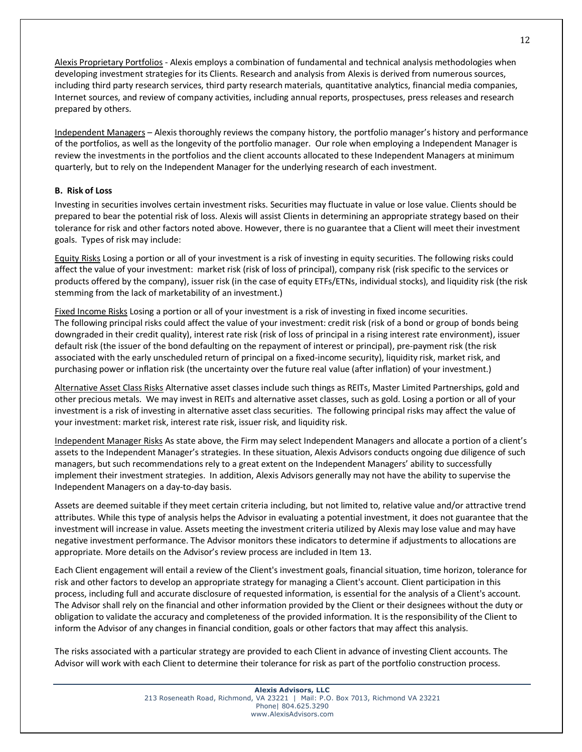Alexis Proprietary Portfolios - Alexis employs a combination of fundamental and technical analysis methodologies when developing investment strategies for its Clients. Research and analysis from Alexis is derived from numerous sources, including third party research services, third party research materials, quantitative analytics, financial media companies, Internet sources, and review of company activities, including annual reports, prospectuses, press releases and research prepared by others.

Independent Managers – Alexis thoroughly reviews the company history, the portfolio manager's history and performance of the portfolios, as well as the longevity of the portfolio manager. Our role when employing a Independent Manager is review the investments in the portfolios and the client accounts allocated to these Independent Managers at minimum quarterly, but to rely on the Independent Manager for the underlying research of each investment.

## **B. Risk of Loss**

Investing in securities involves certain investment risks. Securities may fluctuate in value or lose value. Clients should be prepared to bear the potential risk of loss. Alexis will assist Clients in determining an appropriate strategy based on their tolerance for risk and other factors noted above. However, there is no guarantee that a Client will meet their investment goals. Types of risk may include:

Equity Risks Losing a portion or all of your investment is a risk of investing in equity securities. The following risks could affect the value of your investment: market risk (risk of loss of principal), company risk (risk specific to the services or products offered by the company), issuer risk (in the case of equity ETFs/ETNs, individual stocks), and liquidity risk (the risk stemming from the lack of marketability of an investment.)

Fixed Income Risks Losing a portion or all of your investment is a risk of investing in fixed income securities. The following principal risks could affect the value of your investment: credit risk (risk of a bond or group of bonds being downgraded in their credit quality), interest rate risk (risk of loss of principal in a rising interest rate environment), issuer default risk (the issuer of the bond defaulting on the repayment of interest or principal), pre-payment risk (the risk associated with the early unscheduled return of principal on a fixed-income security), liquidity risk, market risk, and purchasing power or inflation risk (the uncertainty over the future real value (after inflation) of your investment.)

Alternative Asset Class Risks Alternative asset classes include such things as REITs, Master Limited Partnerships, gold and other precious metals. We may invest in REITs and alternative asset classes, such as gold. Losing a portion or all of your investment is a risk of investing in alternative asset class securities. The following principal risks may affect the value of your investment: market risk, interest rate risk, issuer risk, and liquidity risk.

Independent Manager Risks As state above, the Firm may select Independent Managers and allocate a portion of a client's assets to the Independent Manager's strategies. In these situation, Alexis Advisors conducts ongoing due diligence of such managers, but such recommendations rely to a great extent on the Independent Managers' ability to successfully implement their investment strategies. In addition, Alexis Advisors generally may not have the ability to supervise the Independent Managers on a day-to-day basis.

Assets are deemed suitable if they meet certain criteria including, but not limited to, relative value and/or attractive trend attributes. While this type of analysis helps the Advisor in evaluating a potential investment, it does not guarantee that the investment will increase in value. Assets meeting the investment criteria utilized by Alexis may lose value and may have negative investment performance. The Advisor monitors these indicators to determine if adjustments to allocations are appropriate. More details on the Advisor's review process are included in Item 13.

Each Client engagement will entail a review of the Client's investment goals, financial situation, time horizon, tolerance for risk and other factors to develop an appropriate strategy for managing a Client's account. Client participation in this process, including full and accurate disclosure of requested information, is essential for the analysis of a Client's account. The Advisor shall rely on the financial and other information provided by the Client or their designees without the duty or obligation to validate the accuracy and completeness of the provided information. It is the responsibility of the Client to inform the Advisor of any changes in financial condition, goals or other factors that may affect this analysis.

The risks associated with a particular strategy are provided to each Client in advance of investing Client accounts. The Advisor will work with each Client to determine their tolerance for risk as part of the portfolio construction process.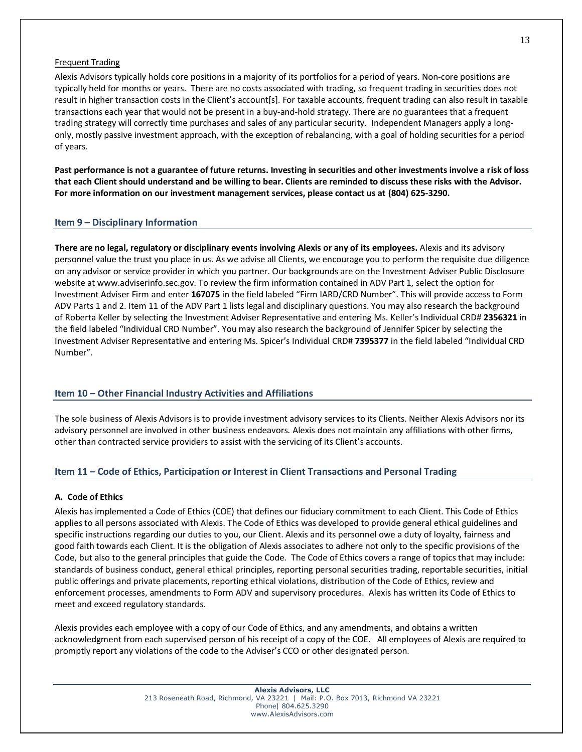#### Frequent Trading

Alexis Advisors typically holds core positions in a majority of its portfolios for a period of years. Non-core positions are typically held for months or years. There are no costs associated with trading, so frequent trading in securities does not result in higher transaction costs in the Client's account[s]. For taxable accounts, frequent trading can also result in taxable transactions each year that would not be present in a buy-and-hold strategy. There are no guarantees that a frequent trading strategy will correctly time purchases and sales of any particular security. Independent Managers apply a longonly, mostly passive investment approach, with the exception of rebalancing, with a goal of holding securities for a period of years.

**Past performance is not a guarantee of future returns. Investing in securities and other investments involve a risk of loss that each Client should understand and be willing to bear. Clients are reminded to discuss these risks with the Advisor. For more information on our investment management services, please contact us at (804) 625-3290.**

### **Item 9 – Disciplinary Information**

**There are no legal, regulatory or disciplinary events involving Alexis or any of its employees.** Alexis and its advisory personnel value the trust you place in us. As we advise all Clients, we encourage you to perform the requisite due diligence on any advisor or service provider in which you partner. Our backgrounds are on the Investment Adviser Public Disclosure website at www.adviserinfo.sec.gov. To review the firm information contained in ADV Part 1, select the option for Investment Adviser Firm and enter **167075** in the field labeled "Firm IARD/CRD Number". This will provide access to Form ADV Parts 1 and 2. Item 11 of the ADV Part 1 lists legal and disciplinary questions. You may also research the background of Roberta Keller by selecting the Investment Adviser Representative and entering Ms. Keller's Individual CRD# **2356321** in the field labeled "Individual CRD Number". You may also research the background of Jennifer Spicer by selecting the Investment Adviser Representative and entering Ms. Spicer's Individual CRD# **7395377** in the field labeled "Individual CRD Number".

## **Item 10 – Other Financial Industry Activities and Affiliations**

The sole business of Alexis Advisors is to provide investment advisory services to its Clients. Neither Alexis Advisors nor its advisory personnel are involved in other business endeavors. Alexis does not maintain any affiliations with other firms, other than contracted service providers to assist with the servicing of its Client's accounts.

## **Item 11 – Code of Ethics, Participation or Interest in Client Transactions and Personal Trading**

#### **A. Code of Ethics**

Alexis has implemented a Code of Ethics (COE) that defines our fiduciary commitment to each Client. This Code of Ethics applies to all persons associated with Alexis. The Code of Ethics was developed to provide general ethical guidelines and specific instructions regarding our duties to you, our Client. Alexis and its personnel owe a duty of loyalty, fairness and good faith towards each Client. It is the obligation of Alexis associates to adhere not only to the specific provisions of the Code, but also to the general principles that guide the Code. The Code of Ethics covers a range of topics that may include: standards of business conduct, general ethical principles, reporting personal securities trading, reportable securities, initial public offerings and private placements, reporting ethical violations, distribution of the Code of Ethics, review and enforcement processes, amendments to Form ADV and supervisory procedures. Alexis has written its Code of Ethics to meet and exceed regulatory standards.

Alexis provides each employee with a copy of our Code of Ethics, and any amendments, and obtains a written acknowledgment from each supervised person of his receipt of a copy of the COE. All employees of Alexis are required to promptly report any violations of the code to the Adviser's CCO or other designated person.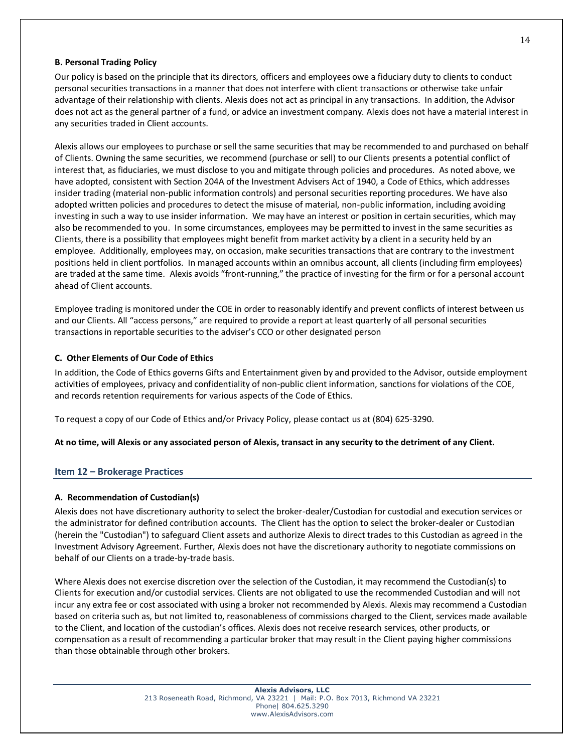#### **B. Personal Trading Policy**

Our policy is based on the principle that its directors, officers and employees owe a fiduciary duty to clients to conduct personal securities transactions in a manner that does not interfere with client transactions or otherwise take unfair advantage of their relationship with clients. Alexis does not act as principal in any transactions. In addition, the Advisor does not act as the general partner of a fund, or advice an investment company. Alexis does not have a material interest in any securities traded in Client accounts.

Alexis allows our employees to purchase or sell the same securities that may be recommended to and purchased on behalf of Clients. Owning the same securities, we recommend (purchase or sell) to our Clients presents a potential conflict of interest that, as fiduciaries, we must disclose to you and mitigate through policies and procedures. As noted above, we have adopted, consistent with Section 204A of the Investment Advisers Act of 1940, a Code of Ethics, which addresses insider trading (material non-public information controls) and personal securities reporting procedures. We have also adopted written policies and procedures to detect the misuse of material, non-public information, including avoiding investing in such a way to use insider information. We may have an interest or position in certain securities, which may also be recommended to you. In some circumstances, employees may be permitted to invest in the same securities as Clients, there is a possibility that employees might benefit from market activity by a client in a security held by an employee. Additionally, employees may, on occasion, make securities transactions that are contrary to the investment positions held in client portfolios. In managed accounts within an omnibus account, all clients (including firm employees) are traded at the same time. Alexis avoids "front-running," the practice of investing for the firm or for a personal account ahead of Client accounts.

Employee trading is monitored under the COE in order to reasonably identify and prevent conflicts of interest between us and our Clients. All "access persons," are required to provide a report at least quarterly of all personal securities transactions in reportable securities to the adviser's CCO or other designated person

#### **C. Other Elements of Our Code of Ethics**

In addition, the Code of Ethics governs Gifts and Entertainment given by and provided to the Advisor, outside employment activities of employees, privacy and confidentiality of non-public client information, sanctions for violations of the COE, and records retention requirements for various aspects of the Code of Ethics.

To request a copy of our Code of Ethics and/or Privacy Policy, please contact us at (804) 625-3290.

**At no time, will Alexis or any associated person of Alexis, transact in any security to the detriment of any Client.** 

#### **Item 12 – Brokerage Practices**

#### **A. Recommendation of Custodian(s)**

Alexis does not have discretionary authority to select the broker-dealer/Custodian for custodial and execution services or the administrator for defined contribution accounts. The Client has the option to select the broker-dealer or Custodian (herein the "Custodian") to safeguard Client assets and authorize Alexis to direct trades to this Custodian as agreed in the Investment Advisory Agreement. Further, Alexis does not have the discretionary authority to negotiate commissions on behalf of our Clients on a trade-by-trade basis.

Where Alexis does not exercise discretion over the selection of the Custodian, it may recommend the Custodian(s) to Clients for execution and/or custodial services. Clients are not obligated to use the recommended Custodian and will not incur any extra fee or cost associated with using a broker not recommended by Alexis. Alexis may recommend a Custodian based on criteria such as, but not limited to, reasonableness of commissions charged to the Client, services made available to the Client, and location of the custodian's offices. Alexis does not receive research services, other products, or compensation as a result of recommending a particular broker that may result in the Client paying higher commissions than those obtainable through other brokers.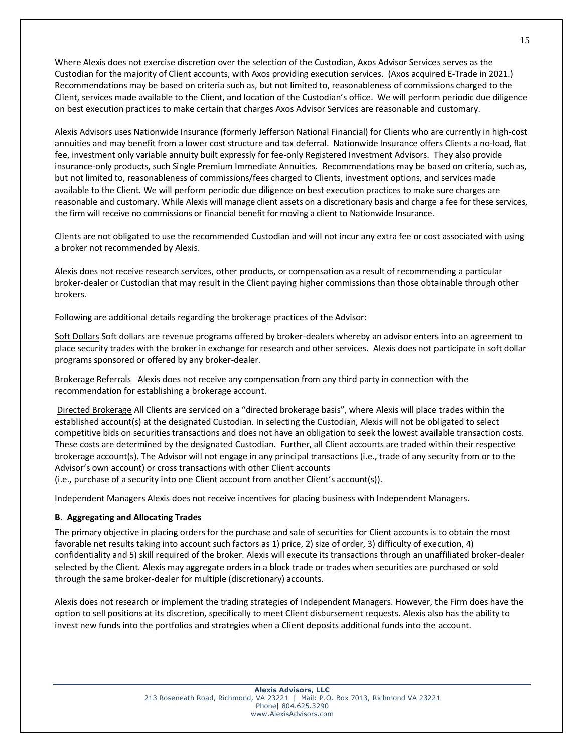Where Alexis does not exercise discretion over the selection of the Custodian, Axos Advisor Services serves as the Custodian for the majority of Client accounts, with Axos providing execution services. (Axos acquired E-Trade in 2021.) Recommendations may be based on criteria such as, but not limited to, reasonableness of commissions charged to the Client, services made available to the Client, and location of the Custodian's office. We will perform periodic due diligence on best execution practices to make certain that charges Axos Advisor Services are reasonable and customary.

Alexis Advisors uses Nationwide Insurance (formerly Jefferson National Financial) for Clients who are currently in high-cost annuities and may benefit from a lower cost structure and tax deferral. Nationwide Insurance offers Clients a no-load, flat fee, investment only variable annuity built expressly for fee-only Registered Investment Advisors. They also provide insurance-only products, such Single Premium Immediate Annuities. Recommendations may be based on criteria, such as, but not limited to, reasonableness of commissions/fees charged to Clients, investment options, and services made available to the Client. We will perform periodic due diligence on best execution practices to make sure charges are reasonable and customary. While Alexis will manage client assets on a discretionary basis and charge a fee for these services, the firm will receive no commissions or financial benefit for moving a client to Nationwide Insurance.

Clients are not obligated to use the recommended Custodian and will not incur any extra fee or cost associated with using a broker not recommended by Alexis.

Alexis does not receive research services, other products, or compensation as a result of recommending a particular broker-dealer or Custodian that may result in the Client paying higher commissions than those obtainable through other brokers.

Following are additional details regarding the brokerage practices of the Advisor:

Soft Dollars Soft dollars are revenue programs offered by broker-dealers whereby an advisor enters into an agreement to place security trades with the broker in exchange for research and other services. Alexis does not participate in soft dollar programs sponsored or offered by any broker-dealer.

Brokerage ReferralsAlexis does not receive any compensation from any third party in connection with the recommendation for establishing a brokerage account.

Directed Brokerage All Clients are serviced on a "directed brokerage basis", where Alexis will place trades within the established account(s) at the designated Custodian. In selecting the Custodian, Alexis will not be obligated to select competitive bids on securities transactions and does not have an obligation to seek the lowest available transaction costs. These costs are determined by the designated Custodian. Further, all Client accounts are traded within their respective brokerage account(s). The Advisor will not engage in any principal transactions (i.e., trade of any security from or to the Advisor's own account) or cross transactions with other Client accounts

(i.e., purchase of a security into one Client account from another Client's account(s)).

Independent Managers Alexis does not receive incentives for placing business with Independent Managers.

## **B. Aggregating and Allocating Trades**

The primary objective in placing orders for the purchase and sale of securities for Client accounts is to obtain the most favorable net results taking into account such factors as 1) price, 2) size of order, 3) difficulty of execution, 4) confidentiality and 5) skill required of the broker. Alexis will execute its transactions through an unaffiliated broker-dealer selected by the Client. Alexis may aggregate orders in a block trade or trades when securities are purchased or sold through the same broker-dealer for multiple (discretionary) accounts.

Alexis does not research or implement the trading strategies of Independent Managers. However, the Firm does have the option to sell positions at its discretion, specifically to meet Client disbursement requests. Alexis also has the ability to invest new funds into the portfolios and strategies when a Client deposits additional funds into the account.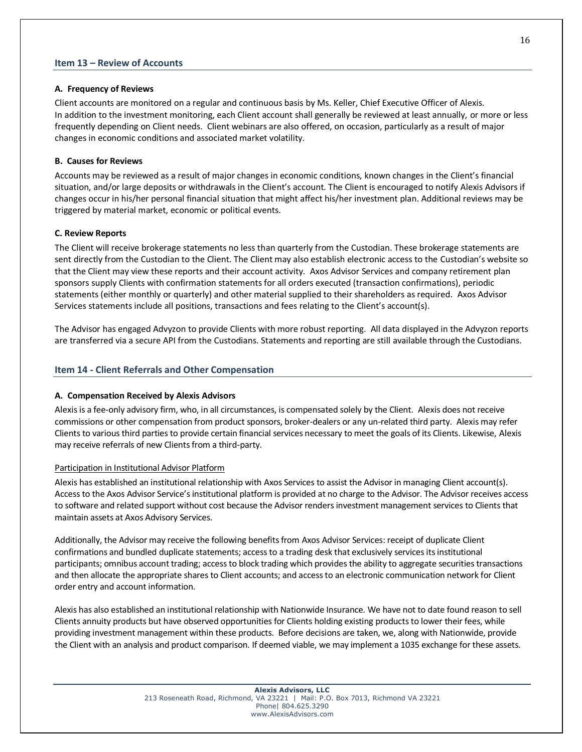## **Item 13 – Review of Accounts**

#### **A. Frequency of Reviews**

Client accounts are monitored on a regular and continuous basis by Ms. Keller, Chief Executive Officer of Alexis. In addition to the investment monitoring, each Client account shall generally be reviewed at least annually, or more or less frequently depending on Client needs. Client webinars are also offered, on occasion, particularly as a result of major changes in economic conditions and associated market volatility.

### **B. Causes for Reviews**

Accounts may be reviewed as a result of major changes in economic conditions, known changes in the Client's financial situation, and/or large deposits or withdrawals in the Client's account. The Client is encouraged to notify Alexis Advisors if changes occur in his/her personal financial situation that might affect his/her investment plan. Additional reviews may be triggered by material market, economic or political events.

## **C. Review Reports**

The Client will receive brokerage statements no less than quarterly from the Custodian. These brokerage statements are sent directly from the Custodian to the Client. The Client may also establish electronic access to the Custodian's website so that the Client may view these reports and their account activity. Axos Advisor Services and company retirement plan sponsors supply Clients with confirmation statements for all orders executed (transaction confirmations), periodic statements (either monthly or quarterly) and other material supplied to their shareholders as required. Axos Advisor Services statements include all positions, transactions and fees relating to the Client's account(s).

The Advisor has engaged Advyzon to provide Clients with more robust reporting. All data displayed in the Advyzon reports are transferred via a secure API from the Custodians. Statements and reporting are still available through the Custodians.

### **Item 14 - Client Referrals and Other Compensation**

#### **A. Compensation Received by Alexis Advisors**

Alexisis a fee-only advisory firm, who, in all circumstances, is compensated solely by the Client. Alexis does not receive commissions or other compensation from product sponsors, broker-dealers or any un-related third party. Alexis may refer Clients to various third parties to provide certain financial services necessary to meet the goals of its Clients. Likewise, Alexis may receive referrals of new Clients from a third-party.

#### Participation in Institutional Advisor Platform

Alexis has established an institutional relationship with Axos Services to assist the Advisor in managing Client account(s). Access to the Axos Advisor Service's institutional platform is provided at no charge to the Advisor. The Advisor receives access to software and related support without cost because the Advisor renders investment management services to Clients that maintain assets at Axos Advisory Services.

Additionally, the Advisor may receive the following benefits from Axos Advisor Services: receipt of duplicate Client confirmations and bundled duplicate statements; access to a trading desk that exclusively services its institutional participants; omnibus account trading; access to block trading which provides the ability to aggregate securities transactions and then allocate the appropriate shares to Client accounts; and access to an electronic communication network for Client order entry and account information.

Alexis has also established an institutional relationship with Nationwide Insurance. We have not to date found reason to sell Clients annuity products but have observed opportunities for Clients holding existing products to lower their fees, while providing investment management within these products. Before decisions are taken, we, along with Nationwide, provide the Client with an analysis and product comparison. If deemed viable, we may implement a 1035 exchange for these assets.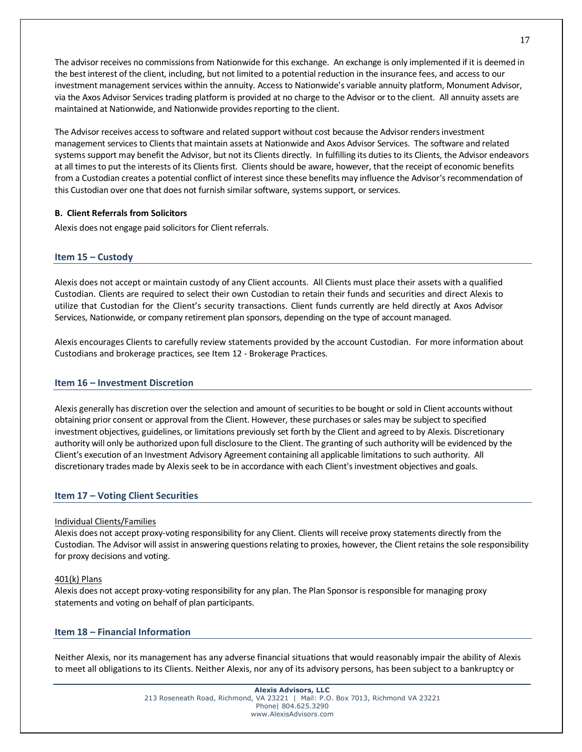The advisor receives no commissions from Nationwide for this exchange. An exchange is only implemented if it is deemed in the best interest of the client, including, but not limited to a potential reduction in the insurance fees, and access to our investment management services within the annuity. Access to Nationwide's variable annuity platform, Monument Advisor, via the Axos Advisor Services trading platform is provided at no charge to the Advisor or to the client. All annuity assets are maintained at Nationwide, and Nationwide provides reporting to the client.

The Advisor receives access to software and related support without cost because the Advisor renders investment management services to Clients that maintain assets at Nationwide and Axos Advisor Services. The software and related systems support may benefit the Advisor, but not its Clients directly. In fulfilling its duties to its Clients, the Advisor endeavors at all times to put the interests of its Clients first. Clients should be aware, however, that the receipt of economic benefits from a Custodian creates a potential conflict of interest since these benefits may influence the Advisor's recommendation of this Custodian over one that does not furnish similar software, systems support, or services.

## **B. Client Referrals from Solicitors**

Alexis does not engage paid solicitors for Client referrals.

### **Item 15 – Custody**

Alexis does not accept or maintain custody of any Client accounts. All Clients must place their assets with a qualified Custodian. Clients are required to select their own Custodian to retain their funds and securities and direct Alexis to utilize that Custodian for the Client's security transactions. Client funds currently are held directly at Axos Advisor Services, Nationwide, or company retirement plan sponsors, depending on the type of account managed.

Alexis encourages Clients to carefully review statements provided by the account Custodian. For more information about Custodians and brokerage practices, see Item 12 - Brokerage Practices.

#### **Item 16 – Investment Discretion**

Alexis generally has discretion over the selection and amount of securities to be bought or sold in Client accounts without obtaining prior consent or approval from the Client. However, these purchases or sales may be subject to specified investment objectives, guidelines, or limitations previously set forth by the Client and agreed to by Alexis. Discretionary authority will only be authorized upon full disclosure to the Client. The granting of such authority will be evidenced by the Client's execution of an Investment Advisory Agreement containing all applicable limitations to such authority. All discretionary trades made by Alexis seek to be in accordance with each Client's investment objectives and goals.

## **Item 17 – Voting Client Securities**

#### Individual Clients/Families

Alexis does not accept proxy-voting responsibility for any Client. Clients will receive proxy statements directly from the Custodian. The Advisor will assist in answering questions relating to proxies, however, the Client retains the sole responsibility for proxy decisions and voting.

## 401(k) Plans

Alexis does not accept proxy-voting responsibility for any plan. The Plan Sponsor is responsible for managing proxy statements and voting on behalf of plan participants.

## **Item 18 – Financial Information**

Neither Alexis, nor its management has any adverse financial situations that would reasonably impair the ability of Alexis to meet all obligations to its Clients. Neither Alexis, nor any of its advisory persons, has been subject to a bankruptcy or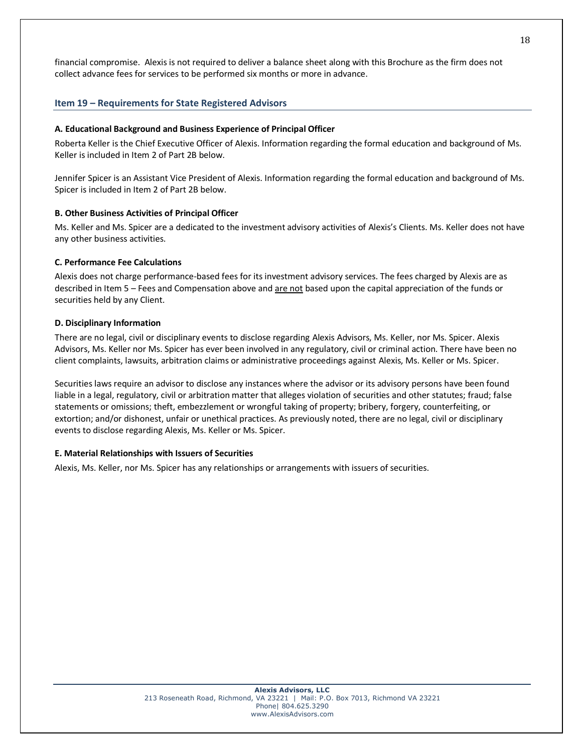financial compromise. Alexis is not required to deliver a balance sheet along with this Brochure as the firm does not collect advance fees for services to be performed six months or more in advance.

## **Item 19 – Requirements for State Registered Advisors**

#### **A. Educational Background and Business Experience of Principal Officer**

Roberta Keller is the Chief Executive Officer of Alexis. Information regarding the formal education and background of Ms. Keller is included in Item 2 of Part 2B below.

Jennifer Spicer is an Assistant Vice President of Alexis. Information regarding the formal education and background of Ms. Spicer is included in Item 2 of Part 2B below.

#### **B. Other Business Activities of Principal Officer**

Ms. Keller and Ms. Spicer are a dedicated to the investment advisory activities of Alexis's Clients. Ms. Keller does not have any other business activities.

#### **C. Performance Fee Calculations**

Alexis does not charge performance-based fees for its investment advisory services. The fees charged by Alexis are as described in Item 5 – Fees and Compensation above and are not based upon the capital appreciation of the funds or securities held by any Client.

#### **D. Disciplinary Information**

There are no legal, civil or disciplinary events to disclose regarding Alexis Advisors, Ms. Keller, nor Ms. Spicer. Alexis Advisors, Ms. Keller nor Ms. Spicer has ever been involved in any regulatory, civil or criminal action. There have been no client complaints, lawsuits, arbitration claims or administrative proceedings against Alexis, Ms. Keller or Ms. Spicer.

Securities laws require an advisor to disclose any instances where the advisor or its advisory persons have been found liable in a legal, regulatory, civil or arbitration matter that alleges violation of securities and other statutes; fraud; false statements or omissions; theft, embezzlement or wrongful taking of property; bribery, forgery, counterfeiting, or extortion; and/or dishonest, unfair or unethical practices. As previously noted, there are no legal, civil or disciplinary events to disclose regarding Alexis, Ms. Keller or Ms. Spicer.

#### **E. Material Relationships with Issuers of Securities**

Alexis, Ms. Keller, nor Ms. Spicer has any relationships or arrangements with issuers of securities.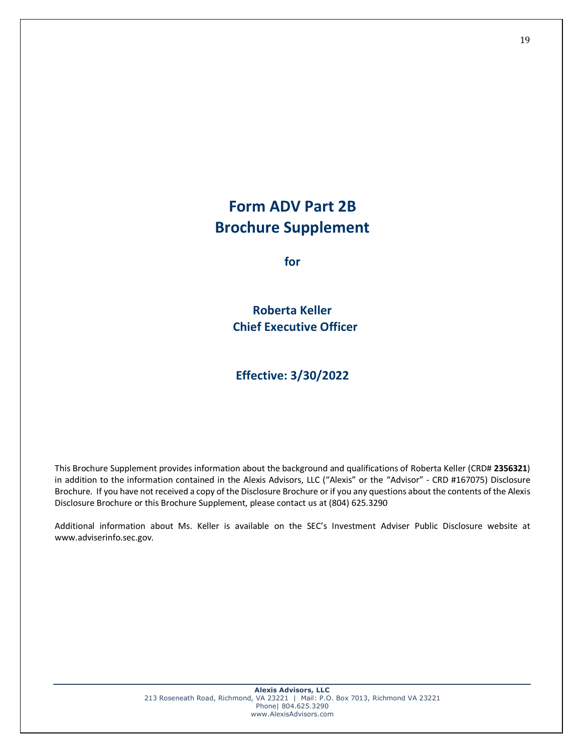## **Form ADV Part 2B Brochure Supplement**

**for**

**Roberta Keller Chief Executive Officer**

**Effective: 3/30/2022**

This Brochure Supplement provides information about the background and qualifications of Roberta Keller (CRD# **2356321**) in addition to the information contained in the Alexis Advisors, LLC ("Alexis" or the "Advisor" - CRD #167075) Disclosure Brochure. If you have not received a copy of the Disclosure Brochure or if you any questions about the contents of the Alexis Disclosure Brochure or this Brochure Supplement, please contact us at (804) 625.3290

Additional information about Ms. Keller is available on the SEC's Investment Adviser Public Disclosure website at www.adviserinfo.sec.gov.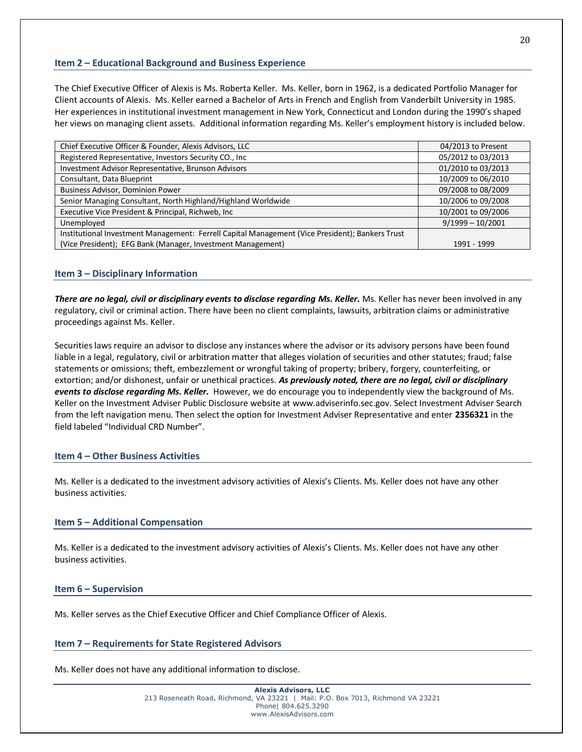## **Item 2 – Educational Background and Business Experience**

The Chief Executive Officer of Alexis is Ms. Roberta Keller. Ms. Keller, born in 1962, is a dedicated Portfolio Manager for Client accounts of Alexis. Ms. Keller earned a Bachelor of Arts in French and English from Vanderbilt University in 1985. Her experiences in institutional investment management in New York, Connecticut and London during the 1990's shaped her views on managing client assets. Additional information regarding Ms. Keller's employment history is included below.

| Chief Executive Officer & Founder, Alexis Advisors, LLC                                         | 04/2013 to Present |
|-------------------------------------------------------------------------------------------------|--------------------|
| Registered Representative, Investors Security CO., Inc                                          | 05/2012 to 03/2013 |
| Investment Advisor Representative, Brunson Advisors                                             | 01/2010 to 03/2013 |
| Consultant, Data Blueprint                                                                      | 10/2009 to 06/2010 |
| <b>Business Advisor, Dominion Power</b>                                                         | 09/2008 to 08/2009 |
| Senior Managing Consultant, North Highland/Highland Worldwide                                   | 10/2006 to 09/2008 |
| Executive Vice President & Principal, Richweb, Inc.                                             | 10/2001 to 09/2006 |
| Unemployed                                                                                      | $9/1999 - 10/2001$ |
| Institutional Investment Management: Ferrell Capital Management (Vice President); Bankers Trust |                    |
| (Vice President); EFG Bank (Manager, Investment Management)                                     | 1991 - 1999        |

## **Item 3 – Disciplinary Information**

*There are no legal, civil or disciplinary events to disclose regarding Ms. Keller.* Ms. Keller has never been involved in any regulatory, civil or criminal action. There have been no client complaints, lawsuits, arbitration claims or administrative proceedings against Ms. Keller.

Securities laws require an advisor to disclose any instances where the advisor or its advisory persons have been found liable in a legal, regulatory, civil or arbitration matter that alleges violation of securities and other statutes; fraud; false statements or omissions; theft, embezzlement or wrongful taking of property; bribery, forgery, counterfeiting, or extortion; and/or dishonest, unfair or unethical practices. *As previously noted, there are no legal, civil or disciplinary events to disclose regarding Ms. Keller.* However, we do encourage you to independently view the background of Ms. Keller on the Investment Adviser Public Disclosure website at www.adviserinfo.sec.gov. Select Investment Adviser Search from the left navigation menu. Then select the option for Investment Adviser Representative and enter **2356321** in the field labeled "Individual CRD Number".

## **Item 4 – Other Business Activities**

Ms. Keller is a dedicated to the investment advisory activities of Alexis's Clients. Ms. Keller does not have any other business activities.

#### **Item 5 – Additional Compensation**

Ms. Keller is a dedicated to the investment advisory activities of Alexis's Clients. Ms. Keller does not have any other business activities.

#### **Item 6 – Supervision**

Ms. Keller serves as the Chief Executive Officer and Chief Compliance Officer of Alexis.

#### **Item 7 – Requirements for State Registered Advisors**

Ms. Keller does not have any additional information to disclose.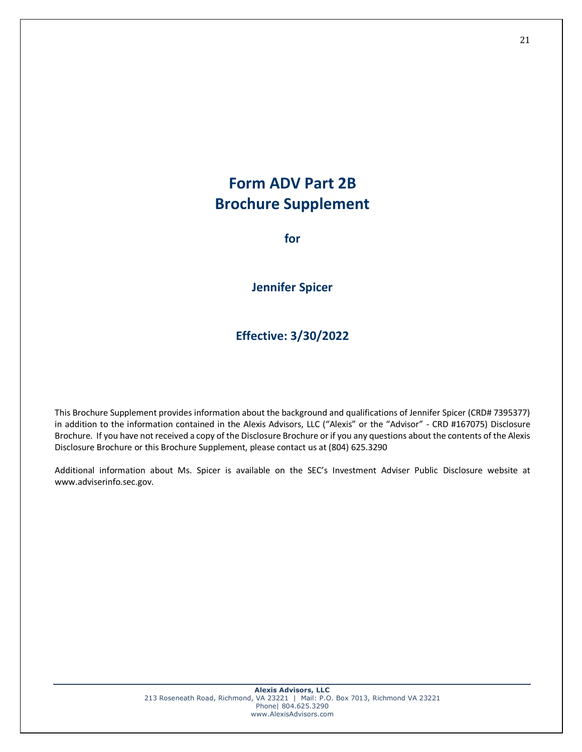## **Form ADV Part 2B Brochure Supplement**

**for**

**Jennifer Spicer**

**Effective: 3/30/2022**

This Brochure Supplement provides information about the background and qualifications of Jennifer Spicer (CRD# 7395377) in addition to the information contained in the Alexis Advisors, LLC ("Alexis" or the "Advisor" - CRD #167075) Disclosure Brochure. If you have not received a copy of the Disclosure Brochure or if you any questions about the contents of the Alexis Disclosure Brochure or this Brochure Supplement, please contact us at (804) 625.3290

Additional information about Ms. Spicer is available on the SEC's Investment Adviser Public Disclosure website at www.adviserinfo.sec.gov.